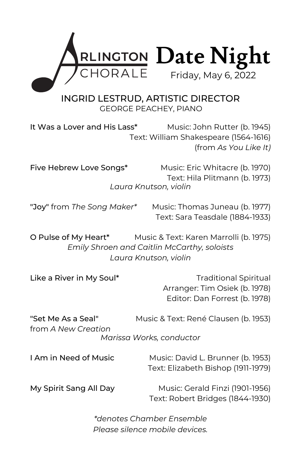

#### INGRID LESTRUD, ARTISTIC DIRECTOR GEORGE PEACHEY, PIANO

Music: John Rutter (b. 1945) Text: William Shakespeare (1564-1616) (from *As You Like It)* It Was a Lover and His Lass\*

Five Hebrew Love Songs\* Music: Eric Whitacre (b. 1970) Text: Hila Plitmann (b. 1973) *Laura Knutson, violin*

"Joy" from *The Song Maker\** Music: Thomas Juneau (b. 1977) Text: Sara Teasdale (1884-1933)

O Pulse of My Heart\* Music & Text: Karen Marrolli (b. 1975) *Emily Shroen and Caitlin McCarthy, soloists Laura Knutson, violin*

Like a River in My Soul\* Traditional Spiritual Arranger: Tim Osiek (b. 1978) Editor: Dan Forrest (b. 1978)

| "Set Me As a Seal"  | Music & Text: René Clausen (b. 1953) |
|---------------------|--------------------------------------|
| from A New Creation |                                      |
|                     | $\blacksquare$                       |

*Marissa Works, conductor*

| I Am in Need of Music | Music: David L. Brunner (b. 1953)  |
|-----------------------|------------------------------------|
|                       | Text: Elizabeth Bishop (1911-1979) |

My Spirit Sang All Day Music: Gerald Finzi (1901-1956) Text: Robert Bridges (1844-1930)

> *\*denotes Chamber Ensemble Please silence mobile devices.*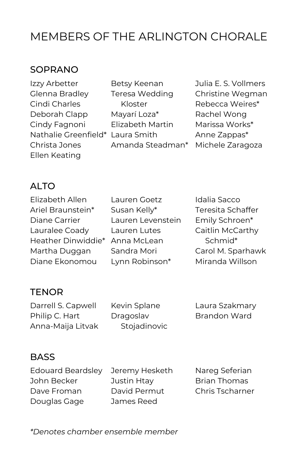# MEMBERS OF THE ARLINGTON CHORALE

#### SOPRANO

Izzy Arbetter Glenna Bradley Cindi Charles Deborah Clapp Cindy Fagnoni Nathalie Greenfield\* Laura Smith Christa Jones Ellen Keating

Betsy Keenan Teresa Wedding Kloster [Mayarí](https://app.chorusconnection.com/tac/admin/members/mayariloza) Loza\* Elizabeth Martin Amanda Steadman\* Julia E. S. Vollmers Christine Wegman Rebecca Weires\* Rachel Wong Marissa Works\* Anne Zappas\* Michele Zaragoza

### ALTO

Elizabeth Allen Ariel Braunstein\* Diane Carrier Lauralee Coady Heather Dinwiddie\* Anna McLean Martha Duggan Diane Ekonomou

Lauren Goetz Susan Kelly\* Lauren Levenstein Lauren Lutes Sandra Mori Lynn Robinson\*

Idalia Sacco Teresita Schaffer Emily Schroen\* Caitlin McCarthy Schmid\* Carol M. Sparhawk Miranda Willson

### **TENOR**

Darrell S. Capwell Philip C. Hart Anna-Maija Litvak Kevin Splane Dragoslav Stojadinovic Laura Szakmary Brandon Ward

### **BASS**

Edouard Beardsley John Becker Dave Froman Douglas Gage

Jeremy Hesketh Justin Htay David Permut James Reed

Nareg Seferian Brian Thomas Chris Tscharner

*\*Denotes chamber ensemble member*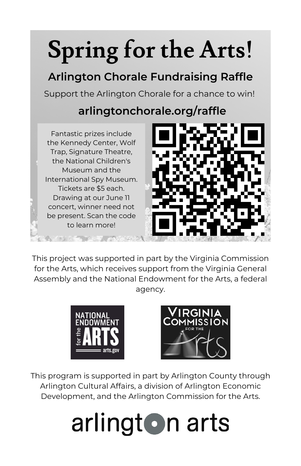# **Spring for the Arts!**

# **Arlington Chorale Fundraising Raffle**

Support the Arlington Chorale for a chance to win!

# **arlingtonchorale.org/raffle**

Fantastic prizes include the Kennedy Center, Wolf Trap, Signature Theatre, the National Children's Museum and the International Spy Museum. Tickets are \$5 each. Drawing at our June 11 concert, winner need not be present. Scan the code to learn more!



This project was supported in part by the Virginia Commission for the Arts, which receives support from the Virginia General Assembly and the National Endowment for the Arts, a federal agency.





This program is supported in part by Arlington County through Arlington Cultural Affairs, a division of Arlington Economic Development, and the Arlington Commission for the Arts.

# arlington arts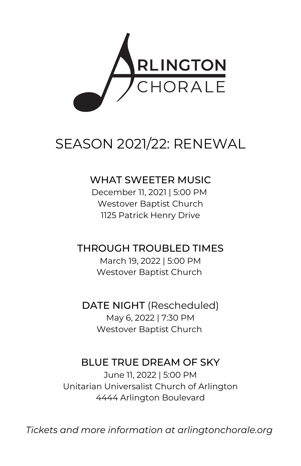

# SEASON 2021/22: RENEWAL

## WHAT SWEETER MUSIC

December 11, 2021 | 5:00 PM Westover Baptist Church 1125 Patrick Henry Drive

THROUGH TROUBLED TIMES

March 19, 2022 | 5:00 PM Westover Baptist Church

DATE NIGHT (Rescheduled) May 6, 2022 | 7:30 PM Westover Baptist Church

### BLUE TRUE DREAM OF SKY

June 11, 2022 | 5:00 PM Unitarian Universalist Church of Arlington 4444 Arlington Boulevard

*Tickets and more information at arlingtonchorale.org*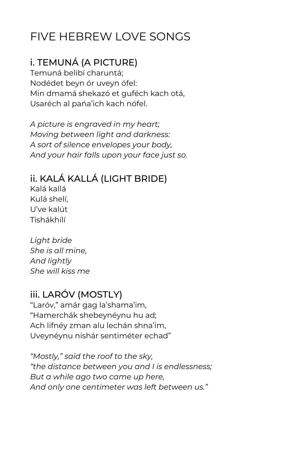# FIVE HEBREW LOVE SONGS

## i. TEMUNÁ (A PICTURE)

Temuná belibí charuntá; Nodédet beyn ór uveyn ófel: Min dmamá shekazó et guféch kach otá, Usaréch al pańa'ich kach nófel.

*A picture is engraved in my heart; Moving between light and darkness: A sort of silence envelopes your body, And your hair falls upon your face just so.*

## ii. KALÁ KALLÁ (LIGHT BRIDE)

Kalá kallá Kulá shelí, U've kalút Tishákhílí

*Light bride She is all mine, And lightly She will kiss me*

## iii. LARÓV (MOSTLY)

"Laróv," amár gag la'shama'im, "Hamerchák shebeynéynu hu ad; Ach lifnéy zman alu lechán shna'im, Uveynéynu nishár sentiméter echad"

*"Mostly," said the roof to the sky, "the distance between you and I is endlessness; But a while ago two came up here, And only one centimeter was left between us."*